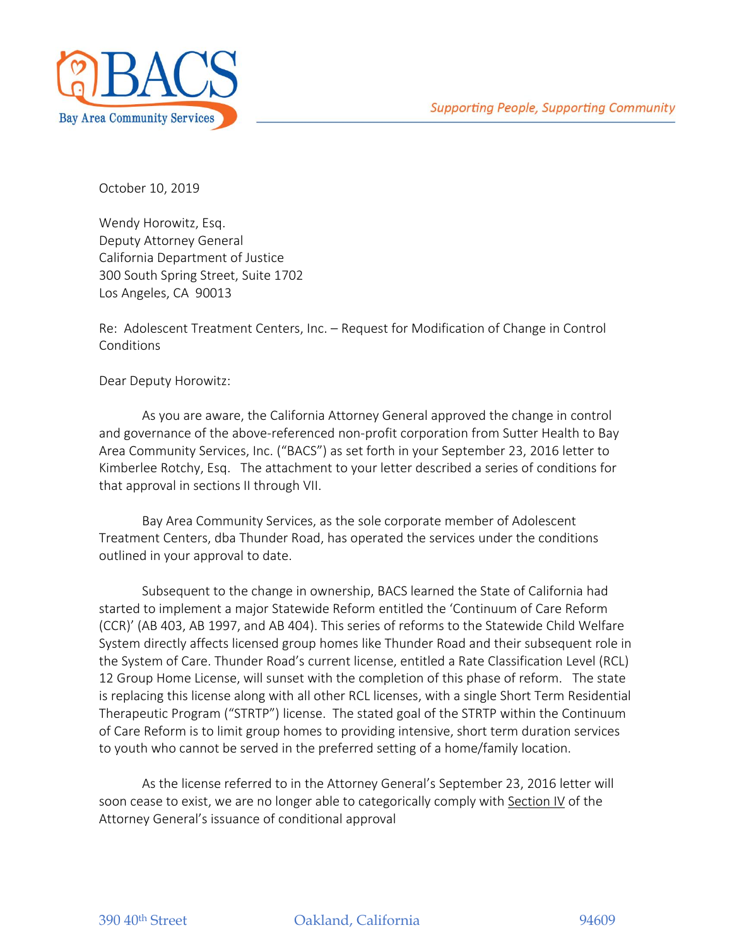

October 10, 2019

Wendy Horowitz, Esq. Deputy Attorney General California Department of Justice 300 South Spring Street, Suite 1702 Los Angeles, CA 90013

Re: Adolescent Treatment Centers, Inc. – Request for Modification of Change in Control Conditions

Dear Deputy Horowitz:

As you are aware, the California Attorney General approved the change in control and governance of the above-referenced non-profit corporation from Sutter Health to Bay Area Community Services, Inc. ("BACS") as set forth in your September 23, 2016 letter to Kimberlee Rotchy, Esq. The attachment to your letter described a series of conditions for that approval in sections II through VII.

Bay Area Community Services, as the sole corporate member of Adolescent Treatment Centers, dba Thunder Road, has operated the services under the conditions outlined in your approval to date.

Subsequent to the change in ownership, BACS learned the State of California had started to implement a major Statewide Reform entitled the 'Continuum of Care Reform (CCR)' (AB 403, AB 1997, and AB 404). This series of reforms to the Statewide Child Welfare System directly affects licensed group homes like Thunder Road and their subsequent role in the System of Care. Thunder Road's current license, entitled a Rate Classification Level (RCL) 12 Group Home License, will sunset with the completion of this phase of reform. The state is replacing this license along with all other RCL licenses, with a single Short Term Residential Therapeutic Program ("STRTP") license. The stated goal of the STRTP within the Continuum of Care Reform is to limit group homes to providing intensive, short term duration services to youth who cannot be served in the preferred setting of a home/family location.

As the license referred to in the Attorney General's September 23, 2016 letter will soon cease to exist, we are no longer able to categorically comply with Section IV of the Attorney General's issuance of conditional approval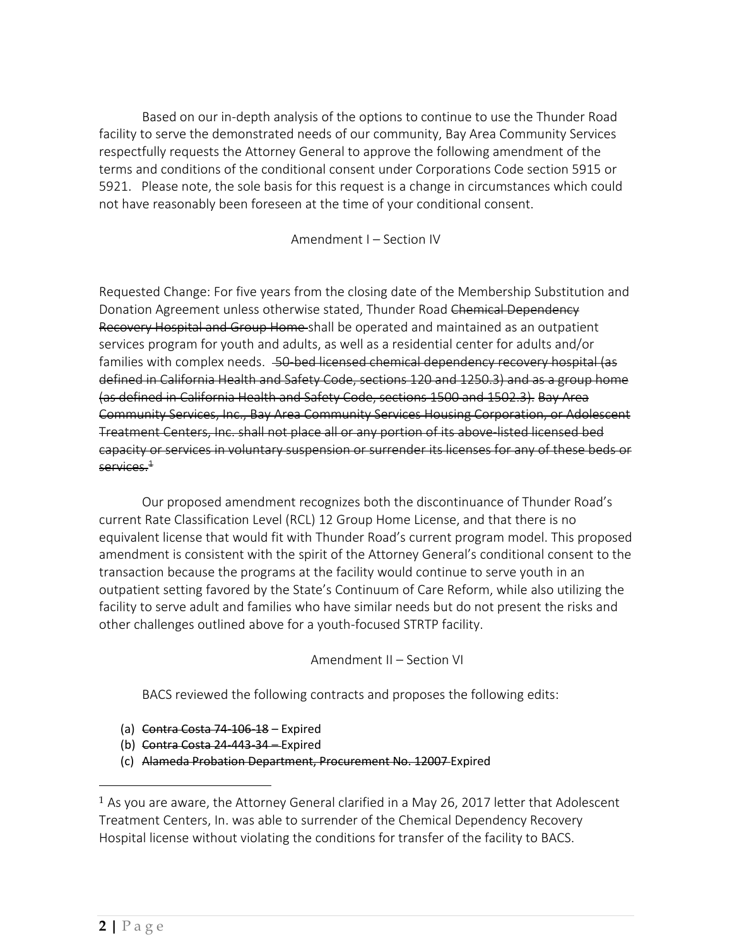Based on our in-depth analysis of the options to continue to use the Thunder Road facility to serve the demonstrated needs of our community, Bay Area Community Services respectfully requests the Attorney General to approve the following amendment of the terms and conditions of the conditional consent under [Corporations Code section 5915](https://1.next.westlaw.com/Link/Document/FullText?findType=L&pubNum=1000204&cite=CACRS5915&originatingDoc=I8E17CE9F665C4A7A8E8B971268D63C97&refType=LQ&originationContext=document&transitionType=DocumentItem&contextData=%28sc.Search%29) or [5921.](https://1.next.westlaw.com/Link/Document/FullText?findType=L&pubNum=1000204&cite=CACRS5921&originatingDoc=I8E17CE9F665C4A7A8E8B971268D63C97&refType=LQ&originationContext=document&transitionType=DocumentItem&contextData=%28sc.Search%29) Please note, the sole basis for this request is a change in circumstances which could not have reasonably been foreseen at the time of your conditional consent.

Amendment I – Section IV

Requested Change: For five years from the closing date of the Membership Substitution and Donation Agreement unless otherwise stated, Thunder Road Chemical Dependency Recovery Hospital and Group Home shall be operated and maintained as an outpatient services program for youth and adults, as well as a residential center for adults and/or families with complex needs. 50-bed licensed chemical dependency recovery hospital (as defined in California Health and Safety Code, sections 120 and 1250.3) and as a group home (as defined in California Health and Safety Code, sections 1500 and 1502.3). Bay Area Community Services, Inc., Bay Area Community Services Housing Corporation, or Adolescent Treatment Centers, Inc. shall not place all or any portion of its above-listed licensed bed capacity or services in voluntary suspension or surrender its licenses for any of these beds or services. $^{\rm 1}$ 

Our proposed amendment recognizes both the discontinuance of Thunder Road's current Rate Classification Level (RCL) 12 Group Home License, and that there is no equivalent license that would fit with Thunder Road's current program model. This proposed amendment is consistent with the spirit of the Attorney General's conditional consent to the transaction because the programs at the facility would continue to serve youth in an outpatient setting favored by the State's Continuum of Care Reform, while also utilizing the facility to serve adult and families who have similar needs but do not present the risks and other challenges outlined above for a youth-focused STRTP facility.

Amendment II – Section VI

BACS reviewed the following contracts and proposes the following edits:

- (a) Contra Costa 74-106-18 Expired
- (b) Contra Costa 24-443-34 Expired
- (c) Alameda Probation Department, Procurement No. 12007 Expired

 $\overline{a}$ 

<sup>1</sup> As you are aware, the Attorney General clarified in a May 26, 2017 letter that Adolescent Treatment Centers, In. was able to surrender of the Chemical Dependency Recovery Hospital license without violating the conditions for transfer of the facility to BACS.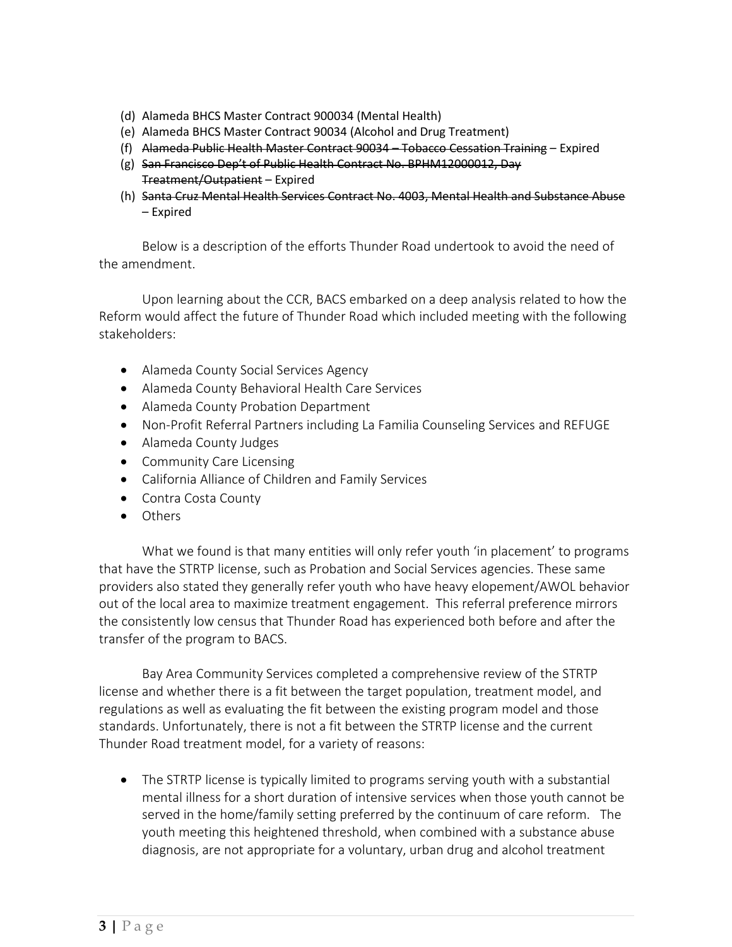- (d) Alameda BHCS Master Contract 900034 (Mental Health)
- (e) Alameda BHCS Master Contract 90034 (Alcohol and Drug Treatment)
- (f) Alameda Public Health Master Contract 90034 Tobacco Cessation Training Expired
- (g) San Francisco Dep't of Public Health Contract No. BPHM12000012, Day Treatment/Outpatient – Expired
- (h) Santa Cruz Mental Health Services Contract No. 4003, Mental Health and Substance Abuse – Expired

Below is a description of the efforts Thunder Road undertook to avoid the need of the amendment.

Upon learning about the CCR, BACS embarked on a deep analysis related to how the Reform would affect the future of Thunder Road which included meeting with the following stakeholders:

- Alameda County Social Services Agency
- Alameda County Behavioral Health Care Services
- Alameda County Probation Department
- Non-Profit Referral Partners including La Familia Counseling Services and REFUGE
- Alameda County Judges
- Community Care Licensing
- California Alliance of Children and Family Services
- Contra Costa County
- Others

What we found is that many entities will only refer youth 'in placement' to programs that have the STRTP license, such as Probation and Social Services agencies. These same providers also stated they generally refer youth who have heavy elopement/AWOL behavior out of the local area to maximize treatment engagement. This referral preference mirrors the consistently low census that Thunder Road has experienced both before and after the transfer of the program to BACS.

Bay Area Community Services completed a comprehensive review of the STRTP license and whether there is a fit between the target population, treatment model, and regulations as well as evaluating the fit between the existing program model and those standards. Unfortunately, there is not a fit between the STRTP license and the current Thunder Road treatment model, for a variety of reasons:

• The STRTP license is typically limited to programs serving youth with a substantial mental illness for a short duration of intensive services when those youth cannot be served in the home/family setting preferred by the continuum of care reform. The youth meeting this heightened threshold, when combined with a substance abuse diagnosis, are not appropriate for a voluntary, urban drug and alcohol treatment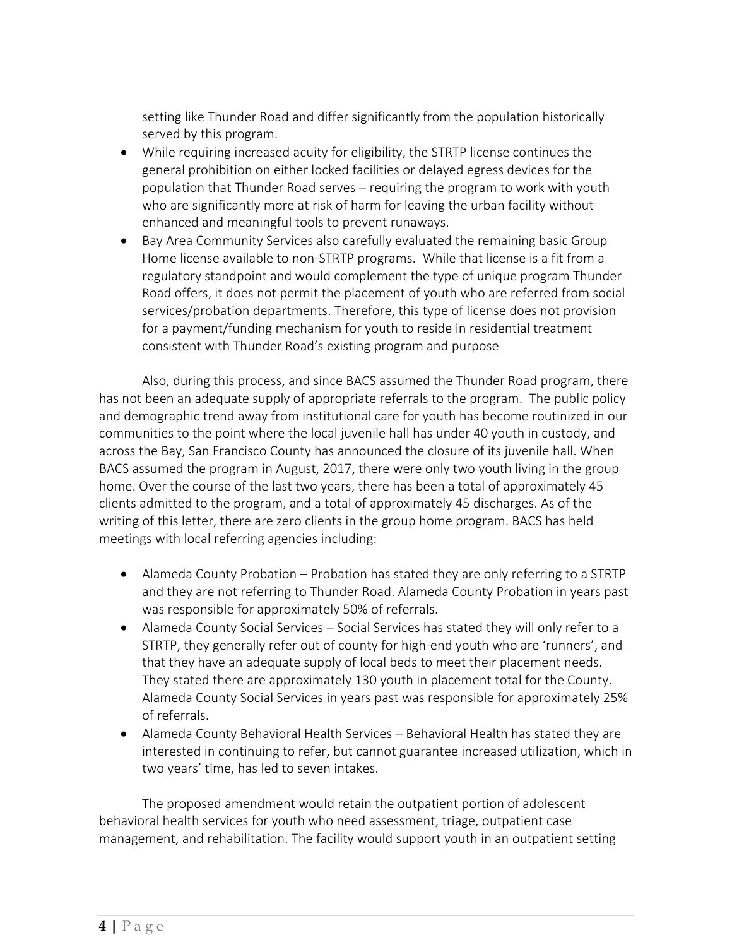setting like Thunder Road and differ significantly from the population historically served by this program.

- While requiring increased acuity for eligibility, the STRTP license continues the general prohibition on either locked facilities or delayed egress devices for the population that Thunder Road serves – requiring the program to work with youth who are significantly more at risk of harm for leaving the urban facility without enhanced and meaningful tools to prevent runaways.
- Bay Area Community Services also carefully evaluated the remaining basic Group Home license available to non-STRTP programs. While that license is a fit from a regulatory standpoint and would complement the type of unique program Thunder Road offers, it does not permit the placement of youth who are referred from social services/probation departments. Therefore, this type of license does not provision for a payment/funding mechanism for youth to reside in residential treatment consistent with Thunder Road's existing program and purpose

Also, during this process, and since BACS assumed the Thunder Road program, there has not been an adequate supply of appropriate referrals to the program. The public policy and demographic trend away from institutional care for youth has become routinized in our communities to the point where the local juvenile hall has under 40 youth in custody, and across the Bay, San Francisco County has announced the closure of its juvenile hall. When BACS assumed the program in August, 2017, there were only two youth living in the group home. Over the course of the last two years, there has been a total of approximately 45 clients admitted to the program, and a total of approximately 45 discharges. As of the writing of this letter, there are zero clients in the group home program. BACS has held meetings with local referring agencies including:

- Alameda County Probation Probation has stated they are only referring to a STRTP and they are not referring to Thunder Road. Alameda County Probation in years past was responsible for approximately 50% of referrals.
- Alameda County Social Services Social Services has stated they will only refer to a STRTP, they generally refer out of county for high-end youth who are 'runners', and that they have an adequate supply of local beds to meet their placement needs. They stated there are approximately 130 youth in placement total for the County. Alameda County Social Services in years past was responsible for approximately 25% of referrals.
- Alameda County Behavioral Health Services Behavioral Health has stated they are interested in continuing to refer, but cannot guarantee increased utilization, which in two years' time, has led to seven intakes.

The proposed amendment would retain the outpatient portion of adolescent behavioral health services for youth who need assessment, triage, outpatient case management, and rehabilitation. The facility would support youth in an outpatient setting